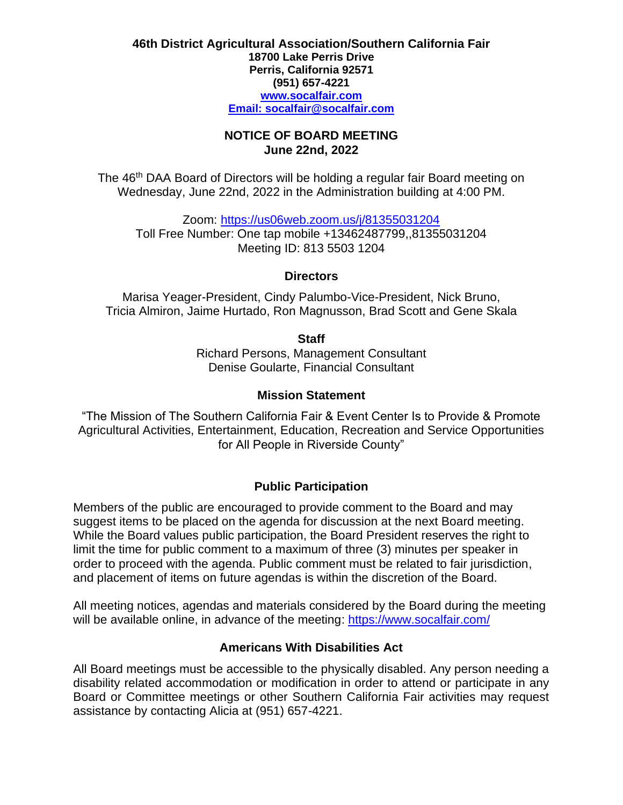#### **46th District Agricultural Association/Southern California Fair 18700 Lake Perris Drive Perris, California 92571 (951) 657-4221 [www.socalfair.com](http://www.socalfair.com/) Email: [socalfair@socalfair.com](mailto:socalfair@socalfair.com)**

#### **NOTICE OF BOARD MEETING June 22nd, 2022**

The 46<sup>th</sup> DAA Board of Directors will be holding a regular fair Board meeting on Wednesday, June 22nd, 2022 in the Administration building at 4:00 PM.

Zoom:<https://us06web.zoom.us/j/81355031204> Toll Free Number: One tap mobile +13462487799,,81355031204 Meeting ID: 813 5503 1204

## **Directors**

Marisa Yeager-President, Cindy Palumbo-Vice-President, Nick Bruno, Tricia Almiron, Jaime Hurtado, Ron Magnusson, Brad Scott and Gene Skala

**Staff**

Richard Persons, Management Consultant Denise Goularte, Financial Consultant

## **Mission Statement**

"The Mission of The Southern California Fair & Event Center Is to Provide & Promote Agricultural Activities, Entertainment, Education, Recreation and Service Opportunities for All People in Riverside County"

# **Public Participation**

Members of the public are encouraged to provide comment to the Board and may suggest items to be placed on the agenda for discussion at the next Board meeting. While the Board values public participation, the Board President reserves the right to limit the time for public comment to a maximum of three (3) minutes per speaker in order to proceed with the agenda. Public comment must be related to fair jurisdiction, and placement of items on future agendas is within the discretion of the Board.

All meeting notices, agendas and materials considered by the Board during the meeting will be available online, in advance of the meeting:<https://www.socalfair.com/>

# **Americans With Disabilities Act**

All Board meetings must be accessible to the physically disabled. Any person needing a disability related accommodation or modification in order to attend or participate in any Board or Committee meetings or other Southern California Fair activities may request assistance by contacting Alicia at (951) 657-4221.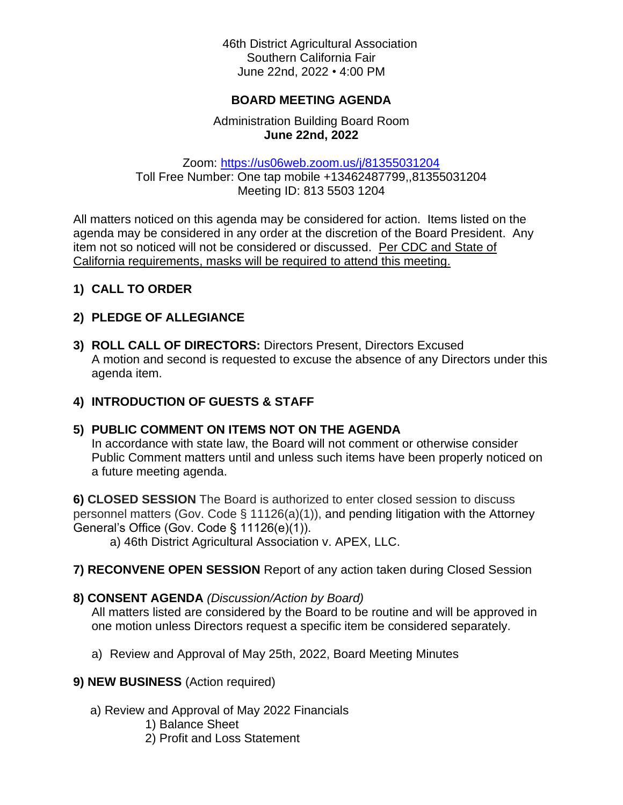46th District Agricultural Association Southern California Fair June 22nd, 2022 • 4:00 PM

#### **BOARD MEETING AGENDA**

## Administration Building Board Room **June 22nd, 2022**

Zoom:<https://us06web.zoom.us/j/81355031204> Toll Free Number: One tap mobile +13462487799,,81355031204 Meeting ID: 813 5503 1204

All matters noticed on this agenda may be considered for action. Items listed on the agenda may be considered in any order at the discretion of the Board President. Any item not so noticed will not be considered or discussed. Per CDC and State of California requirements, masks will be required to attend this meeting.

**1) CALL TO ORDER**

## **2) PLEDGE OF ALLEGIANCE**

**3) ROLL CALL OF DIRECTORS:** Directors Present, Directors Excused A motion and second is requested to excuse the absence of any Directors under this agenda item.

## **4) INTRODUCTION OF GUESTS & STAFF**

## **5) PUBLIC COMMENT ON ITEMS NOT ON THE AGENDA**

In accordance with state law, the Board will not comment or otherwise consider Public Comment matters until and unless such items have been properly noticed on a future meeting agenda.

**6) CLOSED SESSION** The Board is authorized to enter closed session to discuss personnel matters (Gov. Code § 11126(a)(1)), and pending litigation with the Attorney General's Office (Gov. Code § 11126(e)(1)).

a) 46th District Agricultural Association v. APEX, LLC.

**7) RECONVENE OPEN SESSION** Report of any action taken during Closed Session

## **8) CONSENT AGENDA** *(Discussion/Action by Board)*

All matters listed are considered by the Board to be routine and will be approved in one motion unless Directors request a specific item be considered separately.

a) Review and Approval of May 25th, 2022, Board Meeting Minutes

## **9) NEW BUSINESS** (Action required)

- a) Review and Approval of May 2022 Financials
	- 1) Balance Sheet
	- 2) Profit and Loss Statement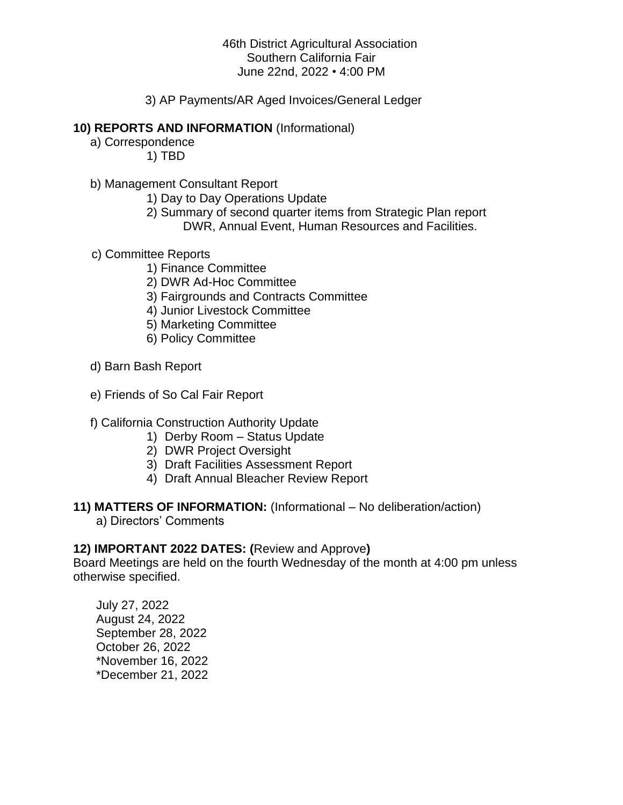## 46th District Agricultural Association Southern California Fair June 22nd, 2022 • 4:00 PM

3) AP Payments/AR Aged Invoices/General Ledger

#### **10) REPORTS AND INFORMATION** (Informational)

- a) Correspondence 1) TBD
- b) Management Consultant Report
	- 1) Day to Day Operations Update
	- 2) Summary of second quarter items from Strategic Plan report DWR, Annual Event, Human Resources and Facilities.
- c) Committee Reports
	- 1) Finance Committee
	- 2) DWR Ad-Hoc Committee
	- 3) Fairgrounds and Contracts Committee
	- 4) Junior Livestock Committee
	- 5) Marketing Committee
	- 6) Policy Committee
- d) Barn Bash Report
- e) Friends of So Cal Fair Report

## f) California Construction Authority Update

- 1) Derby Room Status Update
- 2) DWR Project Oversight
- 3) Draft Facilities Assessment Report
- 4) Draft Annual Bleacher Review Report

#### **11) MATTERS OF INFORMATION:** (Informational – No deliberation/action)

a) Directors' Comments

#### **12) IMPORTANT 2022 DATES: (**Review and Approve**)**

Board Meetings are held on the fourth Wednesday of the month at 4:00 pm unless otherwise specified.

July 27, 2022 August 24, 2022 September 28, 2022 October 26, 2022 \*November 16, 2022 \*December 21, 2022